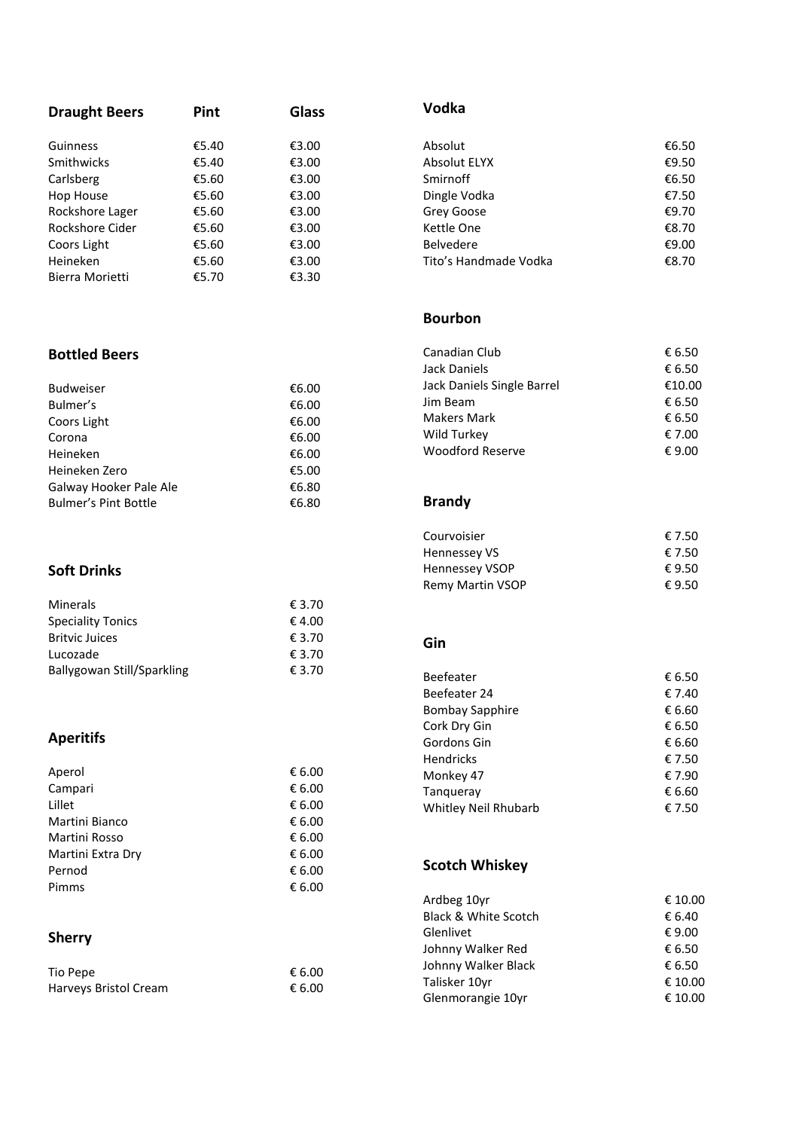| <b>Draught Beers</b>        | Pint  | <b>Glass</b> | <b>Vodka</b>               |        |
|-----------------------------|-------|--------------|----------------------------|--------|
| Guinness                    | €5.40 | €3.00        | Absolut                    | €6.50  |
| Smithwicks                  | €5.40 | €3.00        | Absolut ELYX               | €9.50  |
| Carlsberg                   | €5.60 | €3.00        | Smirnoff                   | €6.50  |
| Hop House                   | €5.60 | €3.00        | Dingle Vodka               | €7.50  |
| Rockshore Lager             | €5.60 | €3.00        | Grey Goose                 | €9.70  |
| Rockshore Cider             | €5.60 | €3.00        | Kettle One                 | €8.70  |
| Coors Light                 | €5.60 | €3.00        | Belvedere                  | €9.00  |
| Heineken                    | €5.60 | €3.00        | Tito's Handmade Vodka      | €8.70  |
| Bierra Morietti             | €5.70 | €3.30        |                            |        |
|                             |       |              | <b>Bourbon</b>             |        |
| <b>Bottled Beers</b>        |       |              | Canadian Club              | € 6.50 |
|                             |       |              | <b>Jack Daniels</b>        | € 6.50 |
| <b>Budweiser</b>            |       | €6.00        | Jack Daniels Single Barrel | €10.0  |
| Bulmer's                    |       | €6.00        | Jim Beam                   | € 6.50 |
| Coors Light                 |       | €6.00        | <b>Makers Mark</b>         | € 6.50 |
| Corona                      |       | €6.00        | Wild Turkey                | € 7.00 |
| Heineken                    |       | €6.00        | Woodford Reserve           | € 9.0  |
| Heineken Zero               |       | €5.00        |                            |        |
| Galway Hooker Pale Ale      |       | €6.80        |                            |        |
| <b>Bulmer's Pint Bottle</b> |       | €6.80        | <b>Brandy</b>              |        |
|                             |       |              | Courvoisier                | € 7.50 |
|                             |       |              | Hennessey VS               | € 7.50 |
| <b>Soft Drinks</b>          |       |              | <b>Hennessey VSOP</b>      | € 9.50 |
|                             |       |              | Remy Martin VSOP           | € 9.50 |
| Minerals                    |       | € 3.70       |                            |        |
| <b>Speciality Tonics</b>    |       | €4.00        |                            |        |
| <b>Britvic Juices</b>       |       | € 3.70       | Gin                        |        |
| Lucozade                    |       | € 3.70       |                            |        |
| Ballygowan Still/Sparkling  |       | € 3.70       | Beefeater                  | € 6.50 |
|                             |       |              | Beefeater 24               | € 7.40 |
|                             |       |              | <b>Bombay Sapphire</b>     | € 6.6  |
|                             |       |              | Cork Dry Gin               | € 6.50 |
| <b>Aperitifs</b>            |       |              | Gordons Gin                | € 6.6  |
|                             |       |              | Hendricks                  | € 7.50 |
| Aperol                      |       | € 6.00       | Monkey 47                  | € 7.90 |
| Campari                     |       | € 6.00       | Tanqueray                  | € 6.6  |
| Lillet                      |       | € 6.00       | Whitley Neil Rhubarb       | € 7.50 |
| Martini Bianco              |       | € 6.00       |                            |        |
| Martini Rosso               |       | € 6.00       |                            |        |
| Martini Extra Dry           |       | € 6.00       |                            |        |
| Pernod                      |       | € 6.00       | <b>Scotch Whiskey</b>      |        |
| Pimms                       |       | € 6.00       |                            |        |
|                             |       |              | Ardbeg 10yr                | € 10.0 |
|                             |       |              | Black & White Scotch       | € 6.40 |
| <b>Sherry</b>               |       |              | Glenlivet                  | € 9.00 |
|                             |       |              | Johnny Walker Red          | € 6.50 |
| Tio Pepe                    |       | € 6.00       | Johnny Walker Black        | € 6.50 |
| Harveys Bristol Cream       |       | € 6.00       | Talisker 10yr              | € 10.0 |
|                             |       |              | Glenmorangie 10yr          | € 10.0 |

€6.50  $£9.50$ 

€6.50

€7.50 €9.70

 $€8.70$ <br>€9.00

€8.70

€ 6.50

€ 6.50  $€10.00$ 

€ 6.50  $\epsilon$  6.50

€ 7.00  $€ 9.00$ 

€ 7.50

€ 7.50

€ 9.50

€ 9.50

€ 6.50

€ 7.40

€ 6.60

€ 6.50

€ 6.60

€ 7.50

€ 7.9 0

€ 6.60

€ 7.50

 $\in$  10.00

€ 6.40  $\epsilon$  9.00

€ 6.50

€ 6.50  $$10.00$ 

€ 10.00